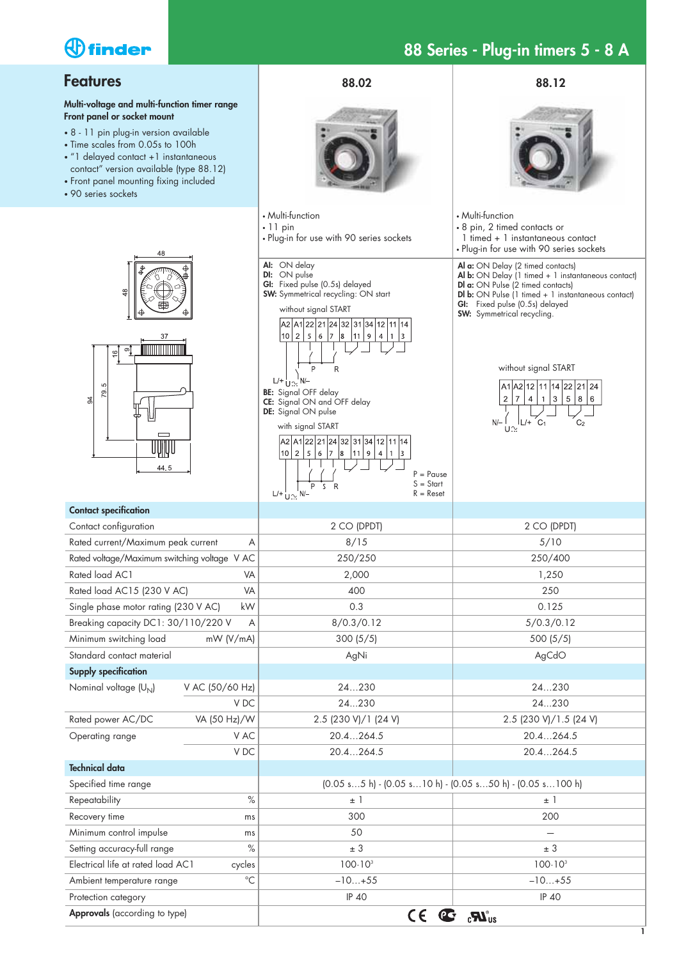

# **88 Series - Plug-in timers 5 - 8 A**

| <b>Features</b>                                                                                                                                                                                                                                                                                                | 88.02                                                                                                                                                                                                                                                                                                                                                                                                                                                                                                                                                                                                                                                                                                                                                                                                                                                                                                                                          | 88.12                                                                                                                                                                                                                                                                                                                                                            |  |  |
|----------------------------------------------------------------------------------------------------------------------------------------------------------------------------------------------------------------------------------------------------------------------------------------------------------------|------------------------------------------------------------------------------------------------------------------------------------------------------------------------------------------------------------------------------------------------------------------------------------------------------------------------------------------------------------------------------------------------------------------------------------------------------------------------------------------------------------------------------------------------------------------------------------------------------------------------------------------------------------------------------------------------------------------------------------------------------------------------------------------------------------------------------------------------------------------------------------------------------------------------------------------------|------------------------------------------------------------------------------------------------------------------------------------------------------------------------------------------------------------------------------------------------------------------------------------------------------------------------------------------------------------------|--|--|
| Multi-voltage and multi-function timer range<br>Front panel or socket mount<br>• 8 - 11 pin plug-in version available<br>• Time scales from 0.05s to 100h<br>· "1 delayed contact +1 instantaneous<br>contact" version available (type 88.12)<br>• Front panel mounting fixing included<br>• 90 series sockets |                                                                                                                                                                                                                                                                                                                                                                                                                                                                                                                                                                                                                                                                                                                                                                                                                                                                                                                                                |                                                                                                                                                                                                                                                                                                                                                                  |  |  |
| 48<br>48                                                                                                                                                                                                                                                                                                       | • Multi-function<br>$\cdot$ 11 pin<br>. Plug-in for use with 90 series sockets<br>AI: ON delay<br>DI: ON pulse<br>GI: Fixed pulse (0.5s) delayed<br><b>SW:</b> Symmetrical recycling: ON start                                                                                                                                                                                                                                                                                                                                                                                                                                                                                                                                                                                                                                                                                                                                                 | • Multi-function<br>• 8 pin, 2 timed contacts or<br>1 timed + 1 instantaneous contact<br>. Plug-in for use with 90 series sockets<br>Al a: ON Delay (2 timed contacts)<br>Al b: ON Delay (1 timed + 1 instantaneous contact)<br>Dl a: ON Pulse (2 timed contacts)<br><b>Dl b:</b> ON Pulse (1 timed + 1 instantaneous contact)<br>GI: Fixed pulse (0.5s) delayed |  |  |
| തി<br>$\frac{16}{1}$<br>ဖာ<br><b>P2</b><br>3<br>44.5                                                                                                                                                                                                                                                           | without signal START<br>A2 A1 22 21 24 32 31 34 12 11 14<br>5 6 7<br>110 I<br>2 <sup>2</sup><br>8<br>$\boxed{9}$<br>11<br>$\overline{4}$<br>$\begin{array}{ c c c } \hline 1 & 3 \\ \hline \end{array}$<br>P<br>$\mathsf{R}$<br>$L/+\frac{1}{112}$<br><b>BE:</b> Signal OFF delay<br>CE: Signal ON and OFF delay<br>DE: Signal ON pulse<br>with signal START<br>A2 A1 22 21 24 32 31 34 12 11 14<br> 10 2 <br>5 6 7 8<br>11<br>$\,9$<br>$\overline{4}$<br>$\mathbf{1}$<br>3<br>$P = P \text{ouse}$<br>$S = Start$<br>P<br>$\mathsf{S}$<br>$\mathsf{R}$<br>$L/+\bigcup_{i=1}^{n} N/-\bigcup_{i=1}^{n} N/-\bigcup_{i=1}^{n} N/-\bigcup_{i=1}^{n} N/-\bigcup_{i=1}^{n} N/-\bigcup_{i=1}^{n} N/-\bigcup_{i=1}^{n} N/-\bigcup_{i=1}^{n} N/-\bigcup_{i=1}^{n} N/-\bigcup_{i=1}^{n} N/-\bigcup_{i=1}^{n} N/-\bigcup_{i=1}^{n} N/-\bigcup_{i=1}^{n} N/-\bigcup_{i=1}^{n} N/-\bigcup_{i=1}^{n} N/-\bigcup_{i=1}^{n} N/-\bigcup_{i=1}^{n$<br>$R =$ Reset | <b>SW:</b> Symmetrical recycling.<br>without signal START<br>A1 A2 12 11 14 22 21 24<br>$\overline{2}$<br>5 <br>$\overline{7}$<br>4<br>$\mathbf{3}$<br>8 6<br>1<br>$ L/F$ $C_1$<br>$N$ /-<br>C <sub>2</sub>                                                                                                                                                      |  |  |
| <b>Contact specification</b>                                                                                                                                                                                                                                                                                   |                                                                                                                                                                                                                                                                                                                                                                                                                                                                                                                                                                                                                                                                                                                                                                                                                                                                                                                                                |                                                                                                                                                                                                                                                                                                                                                                  |  |  |
| Contact configuration                                                                                                                                                                                                                                                                                          | 2 CO (DPDT)                                                                                                                                                                                                                                                                                                                                                                                                                                                                                                                                                                                                                                                                                                                                                                                                                                                                                                                                    | 2 CO (DPDT)                                                                                                                                                                                                                                                                                                                                                      |  |  |
| Rated current/Maximum peak current<br>Α                                                                                                                                                                                                                                                                        | 8/15                                                                                                                                                                                                                                                                                                                                                                                                                                                                                                                                                                                                                                                                                                                                                                                                                                                                                                                                           | 5/10                                                                                                                                                                                                                                                                                                                                                             |  |  |
| Rated voltage/Maximum switching voltage V AC                                                                                                                                                                                                                                                                   | 250/250                                                                                                                                                                                                                                                                                                                                                                                                                                                                                                                                                                                                                                                                                                                                                                                                                                                                                                                                        | 250/400                                                                                                                                                                                                                                                                                                                                                          |  |  |
| Rated load AC1<br>VA                                                                                                                                                                                                                                                                                           | 2,000                                                                                                                                                                                                                                                                                                                                                                                                                                                                                                                                                                                                                                                                                                                                                                                                                                                                                                                                          | 1,250                                                                                                                                                                                                                                                                                                                                                            |  |  |
| Rated load AC15 (230 V AC)<br>VA                                                                                                                                                                                                                                                                               | 400                                                                                                                                                                                                                                                                                                                                                                                                                                                                                                                                                                                                                                                                                                                                                                                                                                                                                                                                            | 250                                                                                                                                                                                                                                                                                                                                                              |  |  |
| Single phase motor rating (230 V AC)<br>kW                                                                                                                                                                                                                                                                     | 0.3                                                                                                                                                                                                                                                                                                                                                                                                                                                                                                                                                                                                                                                                                                                                                                                                                                                                                                                                            | 0.125                                                                                                                                                                                                                                                                                                                                                            |  |  |
| Breaking capacity DC1: 30/110/220 V<br>Α                                                                                                                                                                                                                                                                       | 8/0.3/0.12                                                                                                                                                                                                                                                                                                                                                                                                                                                                                                                                                                                                                                                                                                                                                                                                                                                                                                                                     | 5/0.3/0.12                                                                                                                                                                                                                                                                                                                                                       |  |  |
| Minimum switching load<br>mW (V/mA)                                                                                                                                                                                                                                                                            | 300(5/5)                                                                                                                                                                                                                                                                                                                                                                                                                                                                                                                                                                                                                                                                                                                                                                                                                                                                                                                                       | 500(5/5)                                                                                                                                                                                                                                                                                                                                                         |  |  |
| Standard contact material                                                                                                                                                                                                                                                                                      | AgNi                                                                                                                                                                                                                                                                                                                                                                                                                                                                                                                                                                                                                                                                                                                                                                                                                                                                                                                                           | AgCdO                                                                                                                                                                                                                                                                                                                                                            |  |  |
| <b>Supply specification</b>                                                                                                                                                                                                                                                                                    |                                                                                                                                                                                                                                                                                                                                                                                                                                                                                                                                                                                                                                                                                                                                                                                                                                                                                                                                                |                                                                                                                                                                                                                                                                                                                                                                  |  |  |
| Nominal voltage (U <sub>N</sub> )<br>V AC (50/60 Hz)                                                                                                                                                                                                                                                           | 24230                                                                                                                                                                                                                                                                                                                                                                                                                                                                                                                                                                                                                                                                                                                                                                                                                                                                                                                                          | 24230                                                                                                                                                                                                                                                                                                                                                            |  |  |
| V DC                                                                                                                                                                                                                                                                                                           | 24230                                                                                                                                                                                                                                                                                                                                                                                                                                                                                                                                                                                                                                                                                                                                                                                                                                                                                                                                          | 24230                                                                                                                                                                                                                                                                                                                                                            |  |  |
| Rated power AC/DC<br>VA (50 Hz)/W                                                                                                                                                                                                                                                                              | 2.5 (230 V)/1 (24 V)                                                                                                                                                                                                                                                                                                                                                                                                                                                                                                                                                                                                                                                                                                                                                                                                                                                                                                                           | 2.5 (230 V)/1.5 (24 V)                                                                                                                                                                                                                                                                                                                                           |  |  |
| V AC<br>Operating range                                                                                                                                                                                                                                                                                        | 20.4264.5                                                                                                                                                                                                                                                                                                                                                                                                                                                                                                                                                                                                                                                                                                                                                                                                                                                                                                                                      | 20.4264.5                                                                                                                                                                                                                                                                                                                                                        |  |  |
| V DC                                                                                                                                                                                                                                                                                                           | 20.4264.5                                                                                                                                                                                                                                                                                                                                                                                                                                                                                                                                                                                                                                                                                                                                                                                                                                                                                                                                      | 20.4264.5                                                                                                                                                                                                                                                                                                                                                        |  |  |
| <b>Technical data</b>                                                                                                                                                                                                                                                                                          |                                                                                                                                                                                                                                                                                                                                                                                                                                                                                                                                                                                                                                                                                                                                                                                                                                                                                                                                                |                                                                                                                                                                                                                                                                                                                                                                  |  |  |
| Specified time range                                                                                                                                                                                                                                                                                           | $(0.05 s5 h) - (0.05 s10 h) - (0.05 s50 h) - (0.05 s100 h)$                                                                                                                                                                                                                                                                                                                                                                                                                                                                                                                                                                                                                                                                                                                                                                                                                                                                                    |                                                                                                                                                                                                                                                                                                                                                                  |  |  |
| $\%$<br>Repeatability                                                                                                                                                                                                                                                                                          | $±$ 1                                                                                                                                                                                                                                                                                                                                                                                                                                                                                                                                                                                                                                                                                                                                                                                                                                                                                                                                          | $\pm$ 1                                                                                                                                                                                                                                                                                                                                                          |  |  |
| Recovery time<br>ms                                                                                                                                                                                                                                                                                            | 300                                                                                                                                                                                                                                                                                                                                                                                                                                                                                                                                                                                                                                                                                                                                                                                                                                                                                                                                            | 200                                                                                                                                                                                                                                                                                                                                                              |  |  |
| Minimum control impulse<br>ms                                                                                                                                                                                                                                                                                  | 50                                                                                                                                                                                                                                                                                                                                                                                                                                                                                                                                                                                                                                                                                                                                                                                                                                                                                                                                             |                                                                                                                                                                                                                                                                                                                                                                  |  |  |
| Setting accuracy-full range<br>$\%$                                                                                                                                                                                                                                                                            | $\pm$ 3                                                                                                                                                                                                                                                                                                                                                                                                                                                                                                                                                                                                                                                                                                                                                                                                                                                                                                                                        | ± 3                                                                                                                                                                                                                                                                                                                                                              |  |  |
| Electrical life at rated load AC1<br>cycles                                                                                                                                                                                                                                                                    | $100 \cdot 10^{3}$                                                                                                                                                                                                                                                                                                                                                                                                                                                                                                                                                                                                                                                                                                                                                                                                                                                                                                                             | $100 \cdot 10^{3}$                                                                                                                                                                                                                                                                                                                                               |  |  |
| $^{\circ}C$<br>Ambient temperature range                                                                                                                                                                                                                                                                       | $-10+55$                                                                                                                                                                                                                                                                                                                                                                                                                                                                                                                                                                                                                                                                                                                                                                                                                                                                                                                                       | $-10+55$                                                                                                                                                                                                                                                                                                                                                         |  |  |
| Protection category                                                                                                                                                                                                                                                                                            | <b>IP 40</b>                                                                                                                                                                                                                                                                                                                                                                                                                                                                                                                                                                                                                                                                                                                                                                                                                                                                                                                                   | <b>IP 40</b>                                                                                                                                                                                                                                                                                                                                                     |  |  |
| Approvals (according to type)                                                                                                                                                                                                                                                                                  | $CE$ $C^T$ $SU_{0S}$                                                                                                                                                                                                                                                                                                                                                                                                                                                                                                                                                                                                                                                                                                                                                                                                                                                                                                                           |                                                                                                                                                                                                                                                                                                                                                                  |  |  |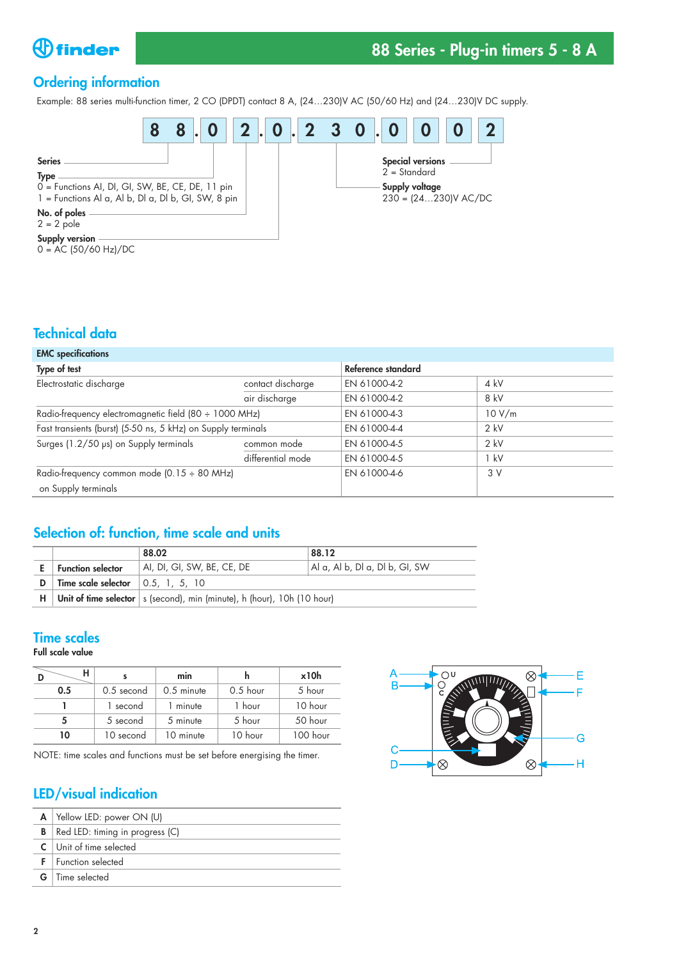

# **88 Series - Plug-in timers 5 - 8 A**

# **Ordering information**

Example: 88 series multi-function timer, 2 CO (DPDT) contact 8 A, (24…230)V AC (50/60 Hz) and (24…230)V DC supply.



### **Technical data**

| <b>EMC</b> specifications                                    |                   |                    |        |  |  |
|--------------------------------------------------------------|-------------------|--------------------|--------|--|--|
| Type of test                                                 |                   | Reference standard |        |  |  |
| Electrostatic discharge                                      | contact discharge | EN 61000-4-2       | $4$ kV |  |  |
|                                                              | air discharge     | EN 61000-4-2       | 8 kV   |  |  |
| Radio-frequency electromagnetic field (80 ÷ 1000 MHz)        |                   | EN 61000-4-3       | 10 V/m |  |  |
| Fast transients (burst) (5-50 ns, 5 kHz) on Supply terminals |                   | EN 61000-4-4       | $2$ kV |  |  |
| Surges (1.2/50 µs) on Supply terminals                       | common mode       | EN 61000-4-5       | $2$ kV |  |  |
|                                                              | differential mode | EN 61000-4-5       | 1 kV   |  |  |
| Radio-frequency common mode (0.15 ÷ 80 MHz)                  |                   | EN 61000-4-6       | 3V     |  |  |
| on Supply terminals                                          |                   |                    |        |  |  |

# **Selection of: function, time scale and units**

|    |                                                   | 88.02                                                                     | 88.12                          |  |  |
|----|---------------------------------------------------|---------------------------------------------------------------------------|--------------------------------|--|--|
|    | <b>Function selector</b>                          | AI, DI, GI, SW, BE, CE, DE!                                               | Al a, Al b, Dl a, Dl b, GI, SW |  |  |
| D. | Time scale selector $\vert 0.5, 1, 5, 10 \rangle$ |                                                                           |                                |  |  |
| H  |                                                   | Unit of time selector   s (second), min (minute), h (hour), 10h (10 hour) |                                |  |  |

### **Time scales**

**Full scale value**

|     |                      | min          |            | x10h     |  |
|-----|----------------------|--------------|------------|----------|--|
| 0.5 | $0.5$ second         | $0.5$ minute | $0.5$ hour | 5 hour   |  |
|     | 1 second             | 1 minute     | 1 hour     | 10 hour  |  |
| 5   | 5 second<br>5 minute |              | 5 hour     | 50 hour  |  |
| 10  | 10 second            |              | 10 hour    | 100 hour |  |

NOTE: time scales and functions must be set before energising the timer.

# **LED/visual indication**

| A | Yellow LED: power ON (U)        |
|---|---------------------------------|
| В | Red LED: timing in progress (C) |
|   | $C$ Unit of time selected       |
|   | $F$   Function selected         |
|   | <b>G</b>   Time selected        |

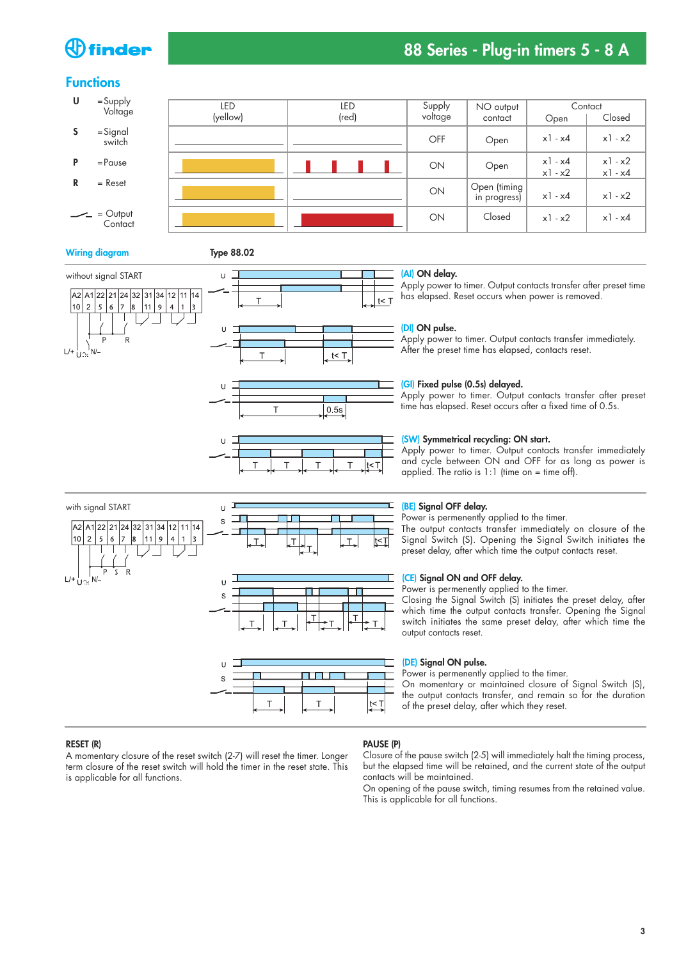# ) finder

# **88 Series - Plug-in timers 5 - 8 A**

### **Functions**



#### **Wiring diagram Type 88.02**









**HILL BE** 

#### **(AI) ON delay.**

Apply power to timer. Output contacts transfer after preset time has elapsed. Reset occurs when power is removed.

#### **(DI) ON pulse.**

Apply power to timer. Output contacts transfer immediately. After the preset time has elapsed, contacts reset.

#### **(GI) Fixed pulse (0.5s) delayed.**

Apply power to timer. Output contacts transfer after preset time has elapsed. Reset occurs after a fixed time of 0.5s.

#### **(SW) Symmetrical recycling: ON start.**

Apply power to timer. Output contacts transfer immediately and cycle between ON and OFF for as long as power is applied. The ratio is  $1:1$  (time on = time off).



 $\overline{\mathbf{s}}$ 

#### **(BE) Signal OFF delay.**

Power is permenently applied to the timer. The output contacts transfer immediately on closure of the Signal Switch (S). Opening the Signal Switch initiates the preset delay, after which time the output contacts reset.

#### **(CE) Signal ON and OFF delay.**

Power is permenently applied to the timer.

Closing the Signal Switch (S) initiates the preset delay, after which time the output contacts transfer. Opening the Signal switch initiates the same preset delay, after which time the output contacts reset.

#### **(DE) Signal ON pulse.**

Power is permenently applied to the timer.

On momentary or maintained closure of Signal Switch (S), the output contacts transfer, and remain so for the duration of the preset delay, after which they reset.

#### **RESET (R)**

A momentary closure of the reset switch (2-7) will reset the timer. Longer term closure of the reset switch will hold the timer in the reset state. This is applicable for all functions.

#### **PAUSE (P)**

Closure of the pause switch (2-5) will immediately halt the timing process, but the elapsed time will be retained, and the current state of the output contacts will be maintained.

On opening of the pause switch, timing resumes from the retained value. This is applicable for all functions.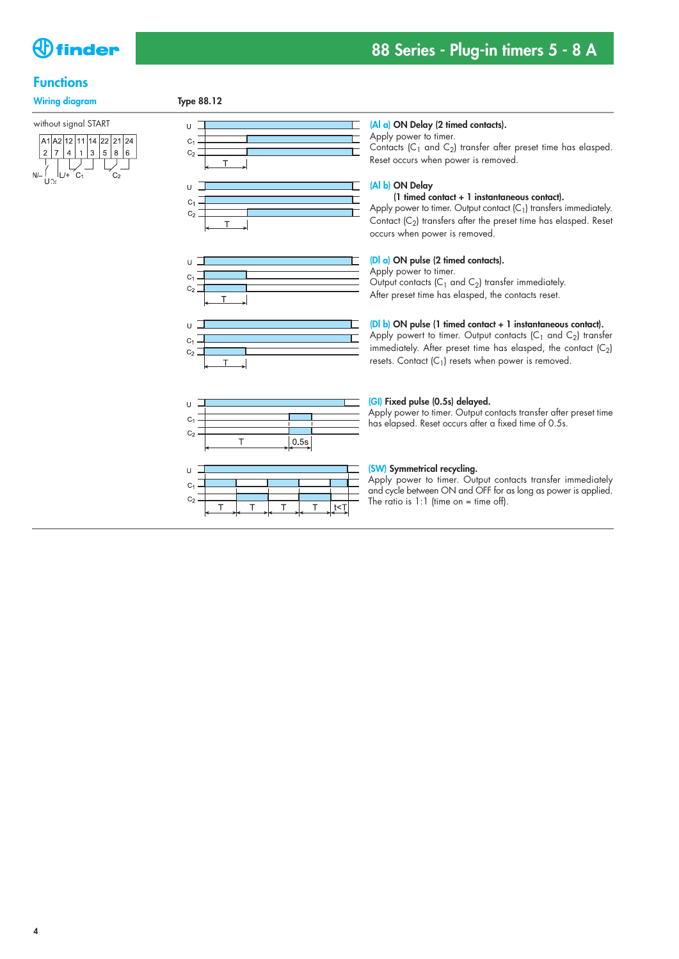

### **Functions**

Wiring diagram Type 88.12

without signal START













#### **(Al a) ON Delay (2 timed contacts).**

Apply power to timer.

Contacts ( $C_1$  and  $C_2$ ) transfer after preset time has elasped. Reset occurs when power is removed.

#### **(Al b) ON Delay**

#### **(1 timed contact + 1 instantaneous contact).**

Apply power to timer. Output contact  $(C_1)$  transfers immediately. Contact  $(C_2)$  transfers after the preset time has elasped. Reset occurs when power is removed.

### **(Dl a) ON pulse (2 timed contacts).**

Apply power to timer. Output contacts  $(C_1$  and  $C_2$ ) transfer immediately. After preset time has elasped, the contacts reset.

#### **(Dl b) ON pulse (1 timed contact + 1 instantaneous contact).**

Apply powert to timer. Output contacts  $(C_1$  and  $C_2$ ) transfer immediately. After preset time has elasped, the contact  $(C_2)$ resets. Contact  $(C_1)$  resets when power is removed.

#### **(GI) Fixed pulse (0.5s) delayed.**

Apply power to timer. Output contacts transfer after preset time has elapsed. Reset occurs after a fixed time of 0.5s.

#### **(SW) Symmetrical recycling.**

Apply power to timer. Output contacts transfer immediately and cycle between ON and OFF for as long as power is applied. The ratio is  $1:1$  (time on = time off).